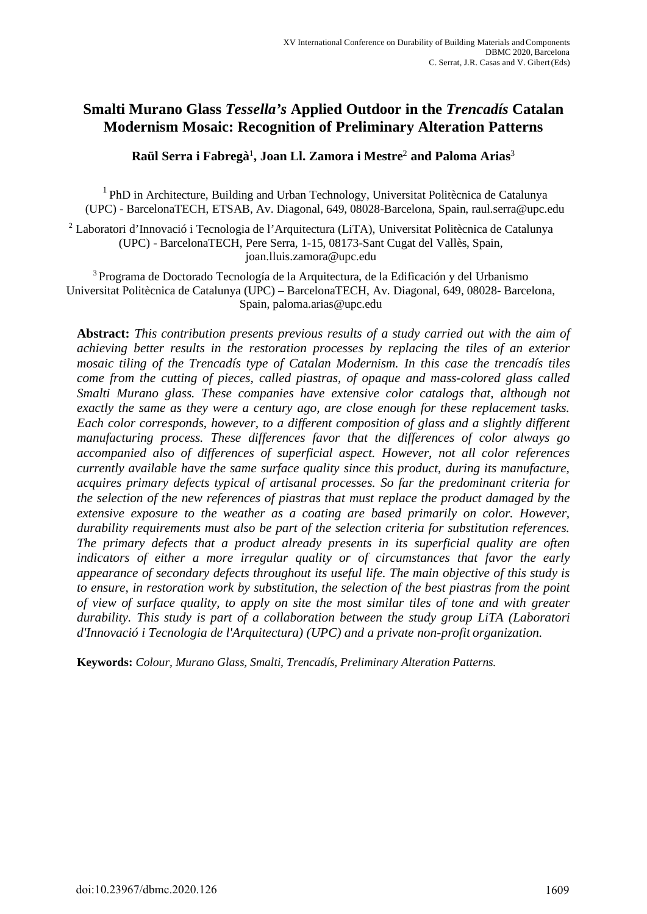## **Smalti Murano Glass** *Tessella's* **Applied Outdoor in the** *Trencadís* **Catalan Modernism Mosaic: Recognition of Preliminary Alteration Patterns**

**Raül Serra i Fabregà**<sup>1</sup> **, Joan Ll. Zamora i Mestre**<sup>2</sup>  **and Paloma Arias**<sup>3</sup>

 $1$  PhD in Architecture, Building and Urban Technology, Universitat Politècnica de Catalunya (UPC) - BarcelonaTECH, ETSAB, Av. Diagonal, 649, 08028-Barcelona, Spain, raul.serra@upc.edu

<sup>2</sup> Laboratori d'Innovació i Tecnologia de l'Arquitectura (LiTA), Universitat Politècnica de Catalunya (UPC) - BarcelonaTECH, Pere Serra, 1-15, 08173-Sant Cugat del Vallès, Spain, joan.lluis.zamora@upc.edu

3 Programa de Doctorado Tecnología de la Arquitectura, de la Edificación y del Urbanismo Universitat Politècnica de Catalunya (UPC) – BarcelonaTECH, Av. Diagonal, 649, 08028- Barcelona, Spain, paloma.arias@upc.edu

**Abstract:** *This contribution presents previous results of a study carried out with the aim of achieving better results in the restoration processes by replacing the tiles of an exterior mosaic tiling of the Trencadís type of Catalan Modernism. In this case the trencadís tiles come from the cutting of pieces, called piastras, of opaque and mass-colored glass called Smalti Murano glass. These companies have extensive color catalogs that, although not exactly the same as they were a century ago, are close enough for these replacement tasks. Each color corresponds, however, to a different composition of glass and a slightly different manufacturing process. These differences favor that the differences of color always go accompanied also of differences of superficial aspect. However, not all color references currently available have the same surface quality since this product, during its manufacture, acquires primary defects typical of artisanal processes. So far the predominant criteria for the selection of the new references of piastras that must replace the product damaged by the extensive exposure to the weather as a coating are based primarily on color. However, durability requirements must also be part of the selection criteria for substitution references. The primary defects that a product already presents in its superficial quality are often*  indicators of either a more irregular quality or of circumstances that favor the early *appearance of secondary defects throughout its useful life. The main objective of this study is to ensure, in restoration work by substitution, the selection of the best piastras from the point of view of surface quality, to apply on site the most similar tiles of tone and with greater durability. This study is part of a collaboration between the study group LiTA (Laboratori d'Innovació i Tecnologia de l'Arquitectura) (UPC) and a private non-profit organization.* 

**Keywords:** *Colour, Murano Glass, Smalti, Trencadís, Preliminary Alteration Patterns.*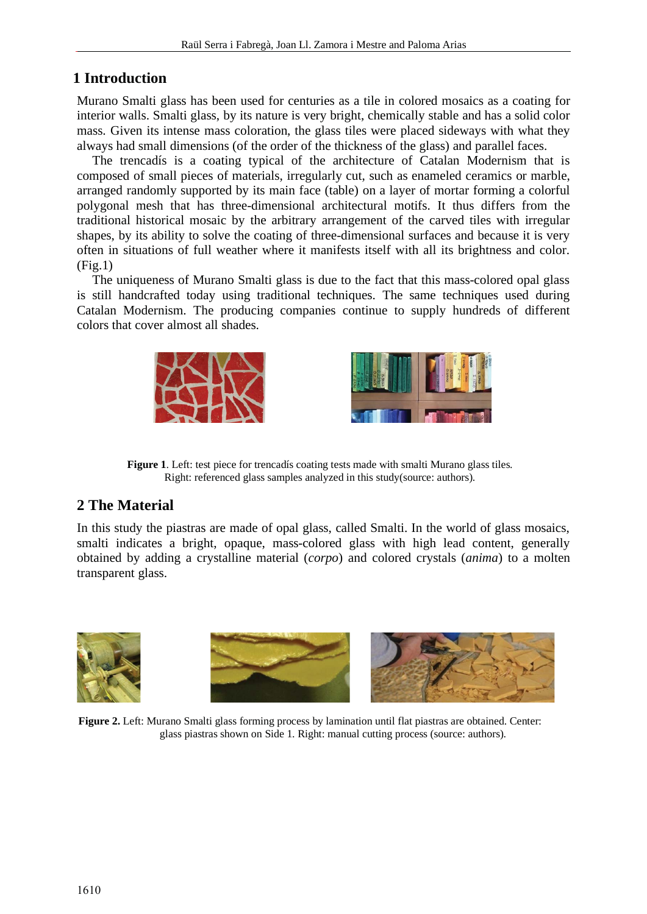# **1 Introduction**

Murano Smalti glass has been used for centuries as a tile in colored mosaics as a coating for interior walls. Smalti glass, by its nature is very bright, chemically stable and has a solid color mass. Given its intense mass coloration, the glass tiles were placed sideways with what they always had small dimensions (of the order of the thickness of the glass) and parallel faces.

The trencadís is a coating typical of the architecture of Catalan Modernism that is composed of small pieces of materials, irregularly cut, such as enameled ceramics or marble, arranged randomly supported by its main face (table) on a layer of mortar forming a colorful polygonal mesh that has three-dimensional architectural motifs. It thus differs from the traditional historical mosaic by the arbitrary arrangement of the carved tiles with irregular shapes, by its ability to solve the coating of three-dimensional surfaces and because it is very often in situations of full weather where it manifests itself with all its brightness and color.  $(Fi\varrho.1)$ 

The uniqueness of Murano Smalti glass is due to the fact that this mass-colored opal glass is still handcrafted today using traditional techniques. The same techniques used during Catalan Modernism. The producing companies continue to supply hundreds of different colors that cover almost all shades.





**Figure 1**. Left: test piece for trencadís coating tests made with smalti Murano glass tiles. Right: referenced glass samples analyzed in this study(source: authors).

# **2 The Material**

In this study the piastras are made of opal glass, called Smalti. In the world of glass mosaics, smalti indicates a bright, opaque, mass-colored glass with high lead content, generally obtained by adding a crystalline material (*corpo*) and colored crystals (*anima*) to a molten transparent glass.





**Figure 2.** Left: Murano Smalti glass forming process by lamination until flat piastras are obtained. Center: glass piastras shown on Side 1. Right: manual cutting process (source: authors).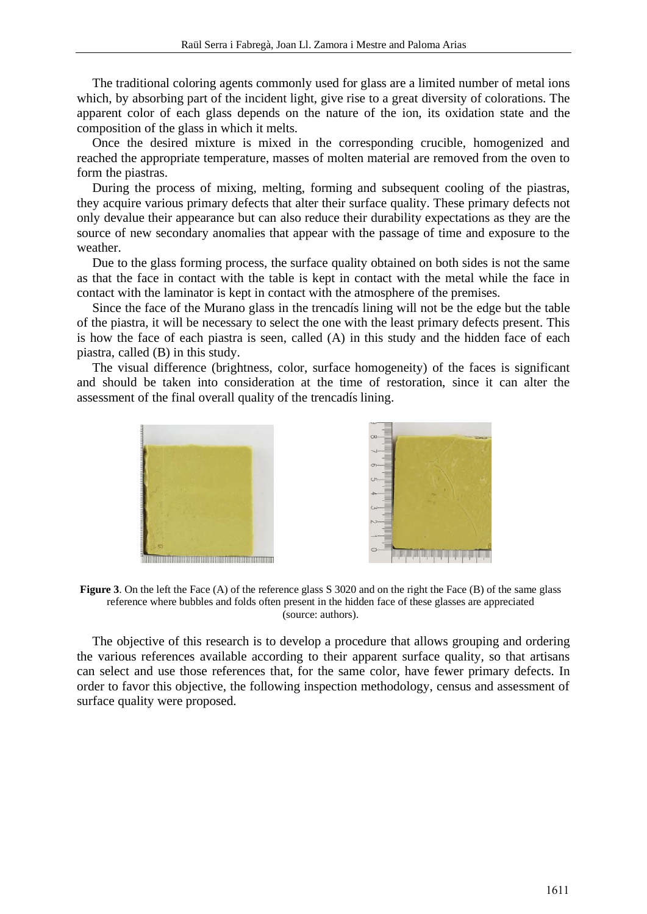The traditional coloring agents commonly used for glass are a limited number of metal ions which, by absorbing part of the incident light, give rise to a great diversity of colorations. The apparent color of each glass depends on the nature of the ion, its oxidation state and the composition of the glass in which it melts.

Once the desired mixture is mixed in the corresponding crucible, homogenized and reached the appropriate temperature, masses of molten material are removed from the oven to form the piastras.

During the process of mixing, melting, forming and subsequent cooling of the piastras, they acquire various primary defects that alter their surface quality. These primary defects not only devalue their appearance but can also reduce their durability expectations as they are the source of new secondary anomalies that appear with the passage of time and exposure to the weather.

Due to the glass forming process, the surface quality obtained on both sides is not the same as that the face in contact with the table is kept in contact with the metal while the face in contact with the laminator is kept in contact with the atmosphere of the premises.

Since the face of the Murano glass in the trencadís lining will not be the edge but the table of the piastra, it will be necessary to select the one with the least primary defects present. This is how the face of each piastra is seen, called (A) in this study and the hidden face of each piastra, called (B) in this study.

The visual difference (brightness, color, surface homogeneity) of the faces is significant and should be taken into consideration at the time of restoration, since it can alter the assessment of the final overall quality of the trencadís lining.





**Figure 3**. On the left the Face (A) of the reference glass S 3020 and on the right the Face (B) of the same glass reference where bubbles and folds often present in the hidden face of these glasses are appreciated (source: authors).

The objective of this research is to develop a procedure that allows grouping and ordering the various references available according to their apparent surface quality, so that artisans can select and use those references that, for the same color, have fewer primary defects. In order to favor this objective, the following inspection methodology, census and assessment of surface quality were proposed.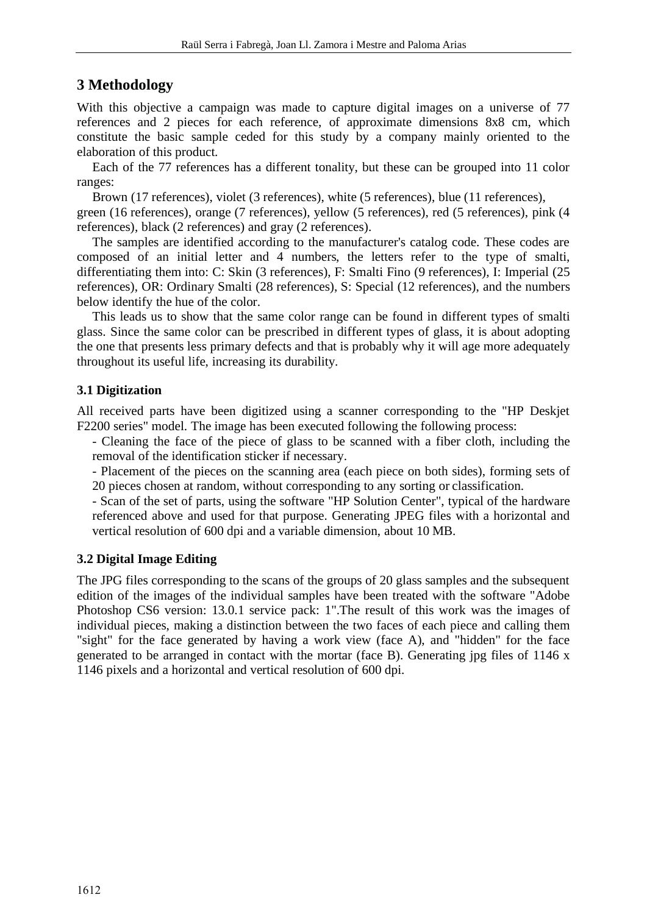## **3 Methodology**

With this objective a campaign was made to capture digital images on a universe of 77 references and 2 pieces for each reference, of approximate dimensions 8x8 cm, which constitute the basic sample ceded for this study by a company mainly oriented to the elaboration of this product.

Each of the 77 references has a different tonality, but these can be grouped into 11 color ranges:

Brown (17 references), violet (3 references), white (5 references), blue (11 references), green (16 references), orange (7 references), yellow (5 references), red (5 references), pink (4

references), black (2 references) and gray (2 references).

The samples are identified according to the manufacturer's catalog code. These codes are composed of an initial letter and 4 numbers, the letters refer to the type of smalti, differentiating them into: C: Skin (3 references), F: Smalti Fino (9 references), I: Imperial (25 references), OR: Ordinary Smalti (28 references), S: Special (12 references), and the numbers below identify the hue of the color.

This leads us to show that the same color range can be found in different types of smalti glass. Since the same color can be prescribed in different types of glass, it is about adopting the one that presents less primary defects and that is probably why it will age more adequately throughout its useful life, increasing its durability.

### **3.1 Digitization**

All received parts have been digitized using a scanner corresponding to the "HP Deskjet F2200 series" model. The image has been executed following the following process:

- Cleaning the face of the piece of glass to be scanned with a fiber cloth, including the removal of the identification sticker if necessary.

- Placement of the pieces on the scanning area (each piece on both sides), forming sets of 20 pieces chosen at random, without corresponding to any sorting or classification.

- Scan of the set of parts, using the software "HP Solution Center", typical of the hardware referenced above and used for that purpose. Generating JPEG files with a horizontal and vertical resolution of 600 dpi and a variable dimension, about 10 MB.

#### **3.2 Digital Image Editing**

The JPG files corresponding to the scans of the groups of 20 glass samples and the subsequent edition of the images of the individual samples have been treated with the software "Adobe Photoshop CS6 version: 13.0.1 service pack: 1".The result of this work was the images of individual pieces, making a distinction between the two faces of each piece and calling them "sight" for the face generated by having a work view (face A), and "hidden" for the face generated to be arranged in contact with the mortar (face B). Generating jpg files of 1146 x 1146 pixels and a horizontal and vertical resolution of 600 dpi.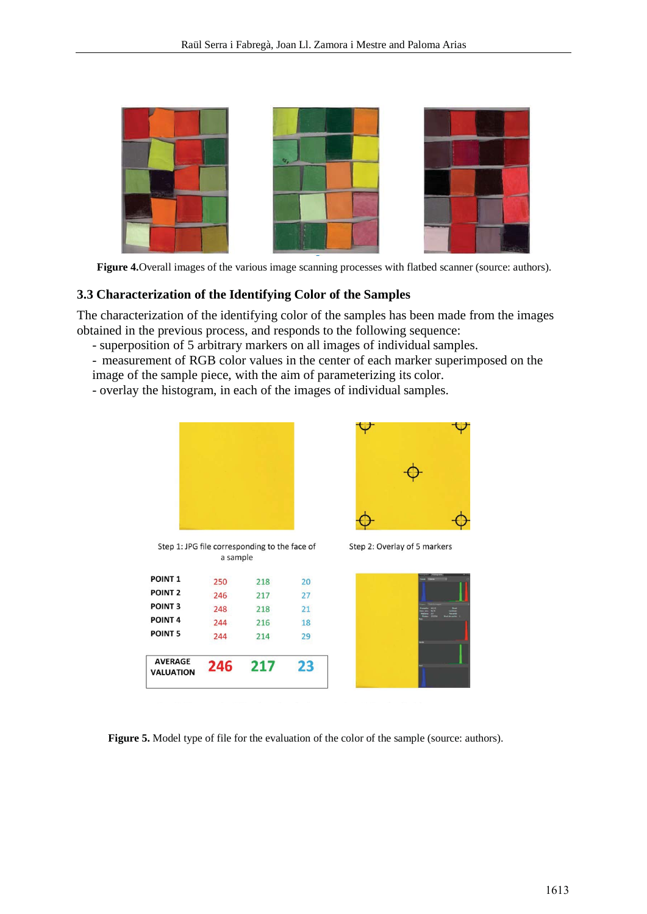

Figure 4. Overall images of the various image scanning processes with flatbed scanner (source: authors).

#### **3.3 Characterization of the Identifying Color of the Samples**

The characterization of the identifying color of the samples has been made from the images obtained in the previous process, and responds to the following sequence:

- superposition of 5 arbitrary markers on all images of individual samples.
- measurement of RGB color values in the center of each marker superimposed on the image of the sample piece, with the aim of parameterizing its color.
- overlay the histogram, in each of the images of individual samples.



Step 2: Overlay of 5 markers

|  | and Statement Co.<br>$\triangle$ Elern $\equiv$<br>۸ | ٠                 |
|--|------------------------------------------------------|-------------------|
|  |                                                      |                   |
|  | 114<br>124<br>125                                    |                   |
|  |                                                      | <b>Breathle</b> E |
|  |                                                      |                   |
|  |                                                      |                   |
|  |                                                      |                   |
|  |                                                      |                   |
|  |                                                      |                   |

Figure 5. Model type of file for the evaluation of the color of the sample (source: authors).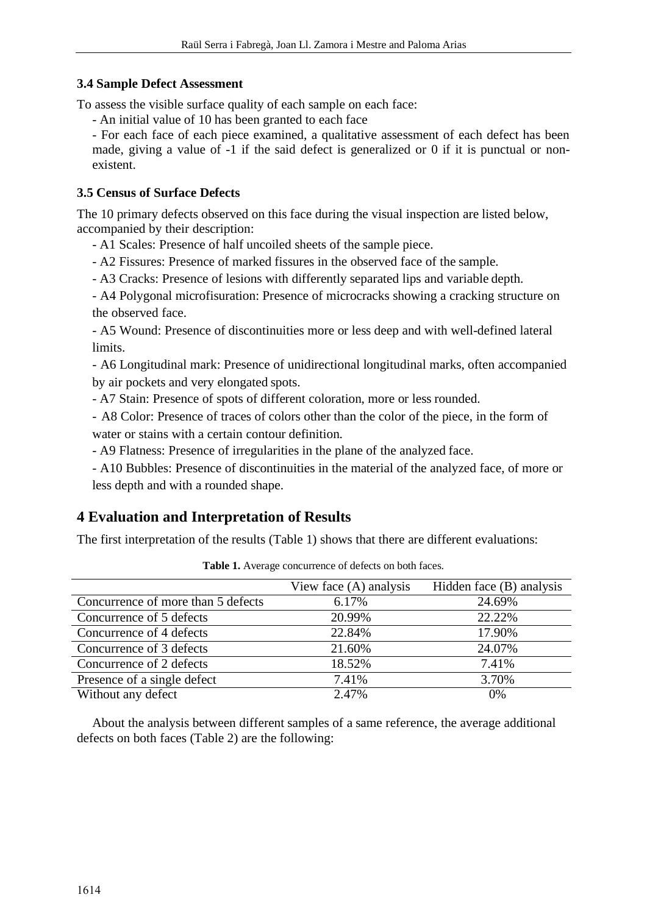#### **3.4 Sample Defect Assessment**

To assess the visible surface quality of each sample on each face:

- An initial value of 10 has been granted to each face

- For each face of each piece examined, a qualitative assessment of each defect has been made, giving a value of -1 if the said defect is generalized or 0 if it is punctual or nonexistent.

### **3.5 Census of Surface Defects**

The 10 primary defects observed on this face during the visual inspection are listed below, accompanied by their description:

- A1 Scales: Presence of half uncoiled sheets of the sample piece.
- A2 Fissures: Presence of marked fissures in the observed face of the sample.
- A3 Cracks: Presence of lesions with differently separated lips and variable depth.

- A4 Polygonal microfisuration: Presence of microcracks showing a cracking structure on the observed face.

- A5 Wound: Presence of discontinuities more or less deep and with well-defined lateral limits.

- A6 Longitudinal mark: Presence of unidirectional longitudinal marks, often accompanied by air pockets and very elongated spots.

- A7 Stain: Presence of spots of different coloration, more or less rounded.

- A8 Color: Presence of traces of colors other than the color of the piece, in the form of water or stains with a certain contour definition.

- A9 Flatness: Presence of irregularities in the plane of the analyzed face.

- A10 Bubbles: Presence of discontinuities in the material of the analyzed face, of more or less depth and with a rounded shape.

## **4 Evaluation and Interpretation of Results**

The first interpretation of the results (Table 1) shows that there are different evaluations:

|                                    | View face $(A)$ analysis | Hidden face (B) analysis |
|------------------------------------|--------------------------|--------------------------|
| Concurrence of more than 5 defects | 6.17%                    | 24.69%                   |
| Concurrence of 5 defects           | 20.99%                   | 22.22%                   |
| Concurrence of 4 defects           | 22.84%                   | 17.90%                   |
| Concurrence of 3 defects           | 21.60%                   | 24.07%                   |
| Concurrence of 2 defects           | 18.52%                   | 7.41%                    |
| Presence of a single defect        | 7.41%                    | 3.70%                    |
| Without any defect                 | 2.47%                    | 0%                       |

Table 1. Average concurrence of defects on both faces.

About the analysis between different samples of a same reference, the average additional defects on both faces (Table 2) are the following: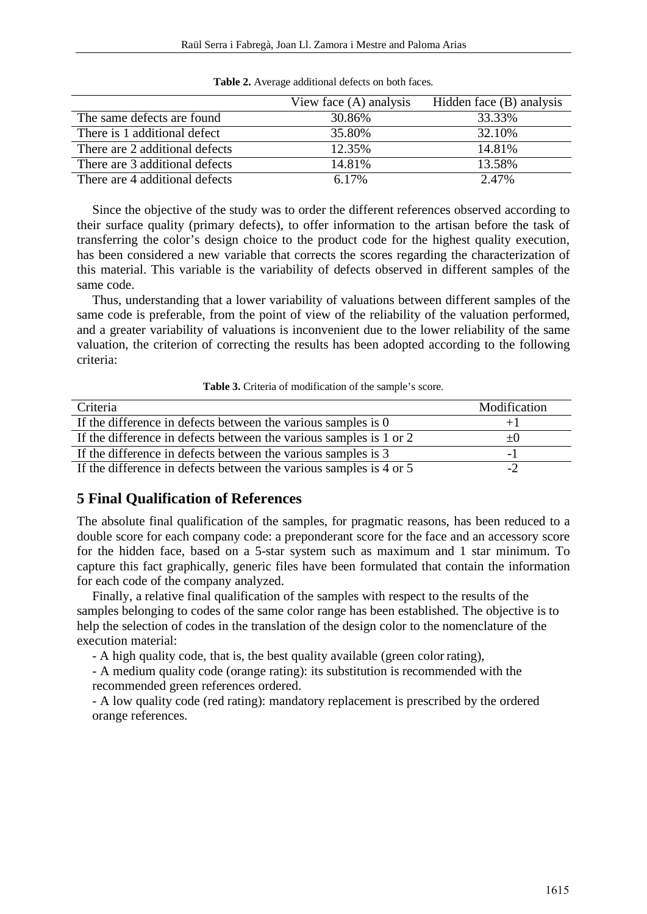|                                | View face $(A)$ analysis | Hidden face (B) analysis |  |  |
|--------------------------------|--------------------------|--------------------------|--|--|
| The same defects are found     | 30.86%                   | 33.33%                   |  |  |
| There is 1 additional defect   | 35.80%                   | 32.10%                   |  |  |
| There are 2 additional defects | 12.35%                   | 14.81%                   |  |  |
| There are 3 additional defects | 14.81%                   | 13.58%                   |  |  |
| There are 4 additional defects | 6.17%                    | 2.47%                    |  |  |

Table 2. Average additional defects on both faces.

Since the objective of the study was to order the different references observed according to their surface quality (primary defects), to offer information to the artisan before the task of transferring the color's design choice to the product code for the highest quality execution, has been considered a new variable that corrects the scores regarding the characterization of this material. This variable is the variability of defects observed in different samples of the same code.

Thus, understanding that a lower variability of valuations between different samples of the same code is preferable, from the point of view of the reliability of the valuation performed, and a greater variability of valuations is inconvenient due to the lower reliability of the same valuation, the criterion of correcting the results has been adopted according to the following criteria:

**Table 3.** Criteria of modification of the sample's score.

| Criteria                                                           | Modification |
|--------------------------------------------------------------------|--------------|
| If the difference in defects between the various samples is 0      | $+1$         |
| If the difference in defects between the various samples is 1 or 2 | $+()$        |
| If the difference in defects between the various samples is 3      | - 1          |
| If the difference in defects between the various samples is 4 or 5 | $-2$         |

#### **5 Final Qualification of References**

The absolute final qualification of the samples, for pragmatic reasons, has been reduced to a double score for each company code: a preponderant score for the face and an accessory score for the hidden face, based on a 5-star system such as maximum and 1 star minimum. To capture this fact graphically, generic files have been formulated that contain the information for each code of the company analyzed.

Finally, a relative final qualification of the samples with respect to the results of the samples belonging to codes of the same color range has been established. The objective is to help the selection of codes in the translation of the design color to the nomenclature of the execution material:

- A high quality code, that is, the best quality available (green color rating),

- A medium quality code (orange rating): its substitution is recommended with the recommended green references ordered.

- A low quality code (red rating): mandatory replacement is prescribed by the ordered orange references.